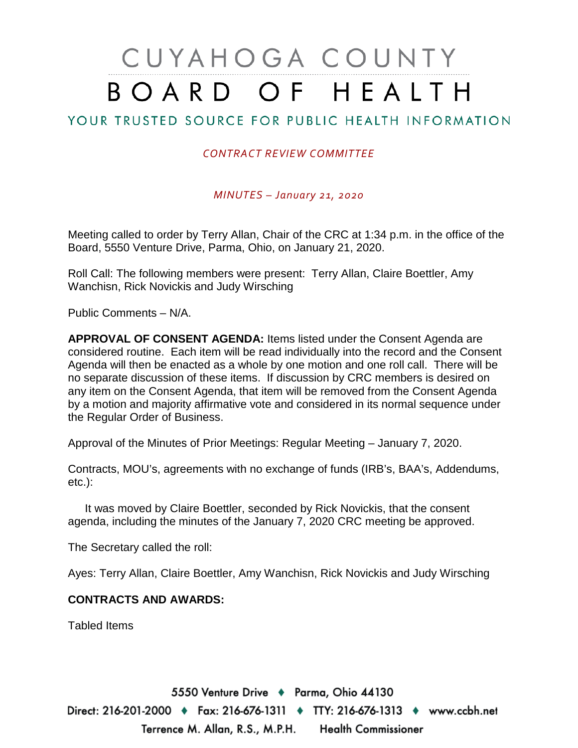## CUYAHOGA COUNTY BOARD OF HEALTH

## YOUR TRUSTED SOURCE FOR PUBLIC HEALTH INFORMATION

## *CONTRACT REVIEW COMMITTEE*

*MINUTES – January 21, 2020*

Meeting called to order by Terry Allan, Chair of the CRC at 1:34 p.m. in the office of the Board, 5550 Venture Drive, Parma, Ohio, on January 21, 2020.

Roll Call: The following members were present: Terry Allan, Claire Boettler, Amy Wanchisn, Rick Novickis and Judy Wirsching

Public Comments – N/A.

**APPROVAL OF CONSENT AGENDA:** Items listed under the Consent Agenda are considered routine. Each item will be read individually into the record and the Consent Agenda will then be enacted as a whole by one motion and one roll call. There will be no separate discussion of these items. If discussion by CRC members is desired on any item on the Consent Agenda, that item will be removed from the Consent Agenda by a motion and majority affirmative vote and considered in its normal sequence under the Regular Order of Business.

Approval of the Minutes of Prior Meetings: Regular Meeting – January 7, 2020.

Contracts, MOU's, agreements with no exchange of funds (IRB's, BAA's, Addendums, etc.):

It was moved by Claire Boettler, seconded by Rick Novickis, that the consent agenda, including the minutes of the January 7, 2020 CRC meeting be approved.

The Secretary called the roll:

Ayes: Terry Allan, Claire Boettler, Amy Wanchisn, Rick Novickis and Judy Wirsching

## **CONTRACTS AND AWARDS:**

Tabled Items

5550 Venture Drive + Parma, Ohio 44130 Direct: 216-201-2000 ♦ Fax: 216-676-1311 ♦ TTY: 216-676-1313 ♦ www.ccbh.net Terrence M. Allan, R.S., M.P.H. Health Commissioner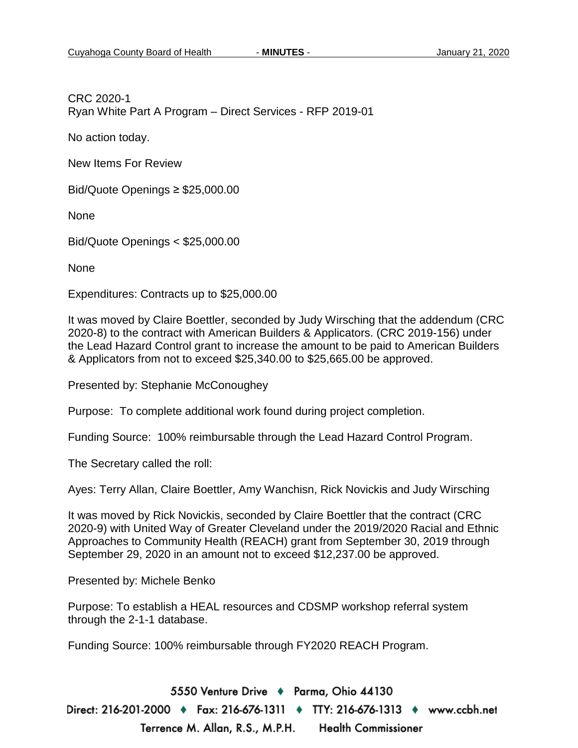CRC 2020-1 Ryan White Part A Program – Direct Services - RFP 2019-01

No action today.

New Items For Review

Bid/Quote Openings ≥ \$25,000.00

None

Bid/Quote Openings < \$25,000.00

None

Expenditures: Contracts up to \$25,000.00

It was moved by Claire Boettler, seconded by Judy Wirsching that the addendum (CRC 2020-8) to the contract with American Builders & Applicators. (CRC 2019-156) under the Lead Hazard Control grant to increase the amount to be paid to American Builders & Applicators from not to exceed \$25,340.00 to \$25,665.00 be approved.

Presented by: Stephanie McConoughey

Purpose: To complete additional work found during project completion.

Funding Source: 100% reimbursable through the Lead Hazard Control Program.

The Secretary called the roll:

Ayes: Terry Allan, Claire Boettler, Amy Wanchisn, Rick Novickis and Judy Wirsching

It was moved by Rick Novickis, seconded by Claire Boettler that the contract (CRC 2020-9) with United Way of Greater Cleveland under the 2019/2020 Racial and Ethnic Approaches to Community Health (REACH) grant from September 30, 2019 through September 29, 2020 in an amount not to exceed \$12,237.00 be approved.

Presented by: Michele Benko

Purpose: To establish a HEAL resources and CDSMP workshop referral system through the 2-1-1 database.

Funding Source: 100% reimbursable through FY2020 REACH Program.

5550 Venture Drive + Parma, Ohio 44130 Direct: 216-201-2000 ♦ Fax: 216-676-1311 ♦ TTY: 216-676-1313 ♦ www.ccbh.net Terrence M. Allan, R.S., M.P.H. **Health Commissioner**